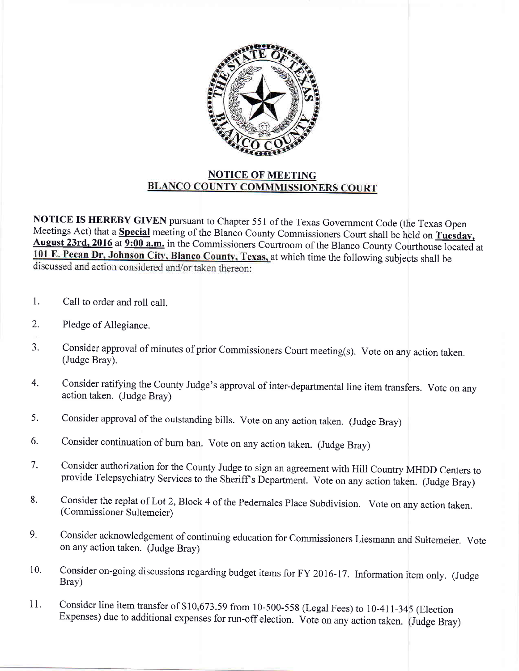

## NOTICE OF MEETING<br>BLANCO COUNTY COMMMISSIONERS COURT

NOTICE IS HEREBY GIVEN pursuant to Chapter 551 of the Texas Government Code (the Texas Open<br>Meetings Act) that a Special meeting of the Blanco County Commissioners Court shall be held on Tuesday, August 23rd, 2016 at 9:00 a.m. in the Commissioners Courtroom of the Blanco County Courthouse located at 101 E. Pecan Dr, Johnson City, Blanco County, Texas, at which time the following subjects shall be discussed and action considered and/or taken thereon:

- 1. Call to order and roll call.
- 2. Pledge of Allegiance.
- 3. Consider approval of minutes of prior Commissioners Court meeting(s). Vote on any action taken. (Judge Bray).
- $4.$ Consider ratifying the County Judge's approvai of inter-departmental line item transfers. Vote on any action taken. (Judge Bray)
- 5. Consider approval of the outstanding bills. Vote on any action taken. (Judge Bray)
- 6. Consider continuation of burn ban. Vote on any action taken. (Judge Bray)
- Consider authorization for the County Judge to sign an agreement with Hill Country MHDD Centers to provide Telepsychiatry Services to the Sheriff's Department. Vote on any action taken. (Judge Bray) 7.
- Consider the replat of Lot 2, Block 4 of the Pedernales Place Subdivision. Vote on any action taken. (Commissioner Sultemeier) 8.
- Consider acknowledgement of continuing education for Commissioners Liesmann and Sultemeier. Vote on any action taken. (Judge Bray) 9.
- Consider on-going discussions regarding budget items for FY 2016-17. Information item only. (Judge Bray) 10.
- Consider line item transfer of \$10,673.59 from 10-500-558 (Legal Fees) to 10-411-345 (Election Expenses) due to additional expenses for run-off election. Vote on any action taken. (Judge Bray) 11.